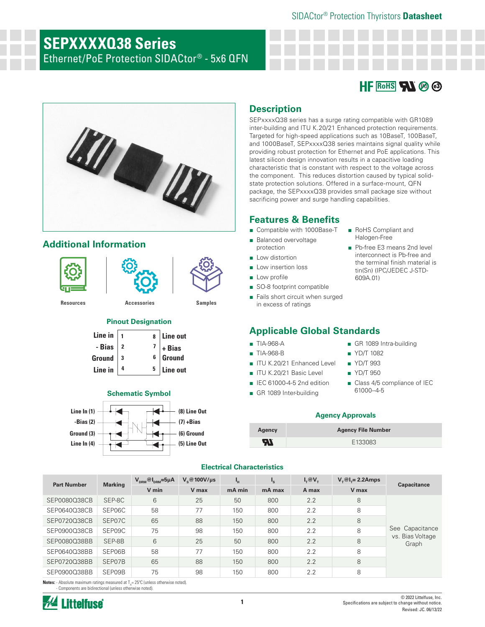#### SIDACtor® Protection Thyristors **Datasheet**

# **SEPXXXXQ38 Series**

Ethernet/PoE Protection SIDACtor® - 5x6 QFN





## **Additional Information**



#### **Pinout Designation**

| Line in $\vert$ 1 |  | 8 Line out                                                              |
|-------------------|--|-------------------------------------------------------------------------|
| - Bias 2          |  | $\begin{array}{c c} 7 & + \text{Bias} \\ 6 & \text{Ground} \end{array}$ |
| Ground 3          |  |                                                                         |
| Line in $ 4$      |  | $5$ Line out                                                            |



### **Description**

SEPxxxxQ38 series has a surge rating compatible with GR1089 inter-building and ITU K.20/21 Enhanced protection requirements. Targeted for high-speed applications such as 10BaseT, 100BaseT, and 1000BaseT, SEPxxxxQ38 series maintains signal quality while providing robust protection for Ethernet and PoE applications. This latest silicon design innovation results in a capacitive loading characteristic that is constant with respect to the voltage across the component. This reduces distortion caused by typical solidstate protection solutions. Offered in a surface-mount, QFN package, the SEPxxxxQ38 provides small package size without sacrificing power and surge handling capabilities.

#### **Features & Benefits**

- Compatible with 1000Base-T
- Balanced overvoltage
- protection
- Low distortion
- Low insertion loss
- Low profile
- SO-8 footprint compatible
- Fails short circuit when surged in excess of ratings

### **Applicable Global Standards <sup>1</sup>**

- TIA-968-A
- TIA-968-B
- ITU K.20/21 Enhanced Level
- ITU K.20/21 Basic Level
- IEC 61000-4-5 2nd edition
- GR 1089 Inter-building

■ RoHS Compliant and Halogen-Free

■ Pb-free E3 means 2nd level interconnect is Pb-free and the terminal finish material is tin(Sn) (IPC/JEDEC J-STD-

#### ■ GR 1089 Intra-building

■ YD/T 1082

609A.01)

- YD/T 993
- YD/T 950
- Class 4/5 compliance of IEC 61000--4-5

#### **Agency Approvals**

| Agency    | <b>Agency File Number</b> |
|-----------|---------------------------|
| <b>AT</b> | E133083                   |

| <b>Part Number</b> | <b>Marking</b> | $V_{DRM}$ <sup>@</sup> $I_{DRM}$ =5µA | $V_{\rm e}$ @100V/µs | ι'΄    | $\mathbf{I}_{\mathbf{S}}$ | $I_\tau @V_\tau$ | $V_\tau$ @l <sub>r</sub> = 2.2Amps | <b>Capacitance</b>                  |
|--------------------|----------------|---------------------------------------|----------------------|--------|---------------------------|------------------|------------------------------------|-------------------------------------|
|                    |                | V min                                 | V max                | mA min | mA max                    | A max            | V max                              |                                     |
| SEP0080Q38CB       | SEP-8C         | 6                                     | 25                   | 50     | 800                       | 2.2              | 8                                  |                                     |
| SEP0640038CB       | SEP06C         | 58                                    | 77                   | 150    | 800                       | 2.2              | 8                                  |                                     |
| SEP0720Q38CB       | SEP07C         | 65                                    | 88                   | 150    | 800                       | 2.2              | 8                                  |                                     |
| SEP0900Q38CB       | SEP09C         | 75                                    | 98                   | 150    | 800                       | 2.2              | 8                                  | See Capacitance<br>vs. Bias Voltage |
| SEP0080O38BB       | SEP-8B         | 6                                     | 25                   | 50     | 800                       | 2.2              | 8                                  | Graph                               |
| SEP0640Q38BB       | SEP06B         | 58                                    | 77                   | 150    | 800                       | 2.2              | 8                                  |                                     |
| SEP0720Q38BB       | SEP07B         | 65                                    | 88                   | 150    | 800                       | 2.2              | 8                                  |                                     |
| SEP0900Q38BB       | SEP09B         | 75                                    | 98                   | 150    | 800                       | 2.2              | 8                                  |                                     |

**Electrical Characteristics**

**Notes:** - Absolute maximum ratings measured at T<sub>A</sub>=25°C (unless otherwise noted). - Components are bidirectional (unless otherwise noted).





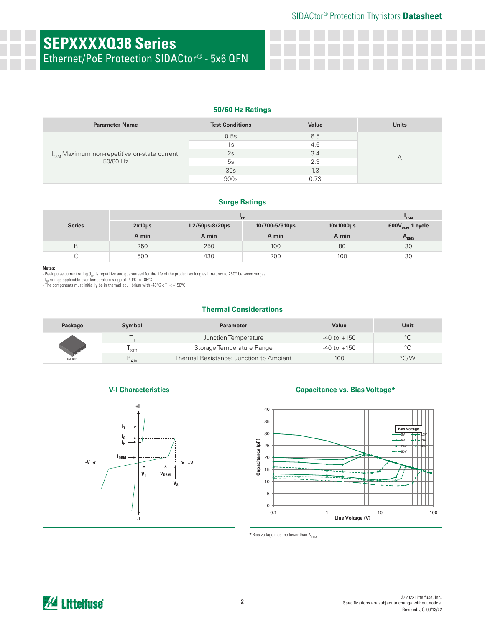# **SEPXXXXQ38 Series**

Ethernet/PoE Protection SIDACtor® - 5x6 QFN

#### **50/60 Hz Ratings**

| <b>Parameter Name</b>                                                 | <b>Test Conditions</b> | Value | <b>Units</b> |
|-----------------------------------------------------------------------|------------------------|-------|--------------|
|                                                                       | 0.5s                   | 6.5   |              |
| I <sub>TSM</sub> Maximum non-repetitive on-state current,<br>50/60 Hz | 1s                     | 4.6   |              |
|                                                                       | 2s                     | 3.4   |              |
|                                                                       | 5s                     | 2.3   |              |
|                                                                       | 30 <sub>s</sub>        | 1.3   |              |
|                                                                       | 900s                   |       |              |

#### **Surge Ratings**

|               |             | "TSM                        |                |                |                      |
|---------------|-------------|-----------------------------|----------------|----------------|----------------------|
| <b>Series</b> | $2x10\mu s$ | $1.2/50 \mu s - 8/20 \mu s$ | 10/700-5/310µs | $10x1000\mu s$ | $600V_{RMS}$ 1 cycle |
|               | A min       | A min                       | A min          | A min          | A <sub>RMS</sub>     |
| В             | 250         | 250                         | 100            | 80             | 30                   |
|               | 500         | 430                         | 200            | 100            | 30                   |

#### **Notes:**

- Peak pulse current rating (I<sub>pp</sub>) is repetitive and guaranteed for the life of the product as long as it returns to 25C° between surges<br>- I<sub>pp</sub> ratings applicable over temperature range of -40°C to +85°C<br>- The components

#### **Thermal Considerations**

| Package | <b>Symbol</b>    | <b>Parameter</b>                        | Value           | Unit    |
|---------|------------------|-----------------------------------------|-----------------|---------|
|         |                  | Junction Temperature                    | $-40$ to $+150$ | $\circ$ |
|         | ' STG            | Storage Temperature Range               | $-40$ to $+150$ | $\circ$ |
| 5x6 QFN | R <sub>eja</sub> | Thermal Resistance: Junction to Ambient | 100             | °C/W    |

#### **V-I Characteristics**



#### **Capacitance vs. Bias Voltage\***



 $*$  Bias voltage must be lower than  $V_{DRM}$ 

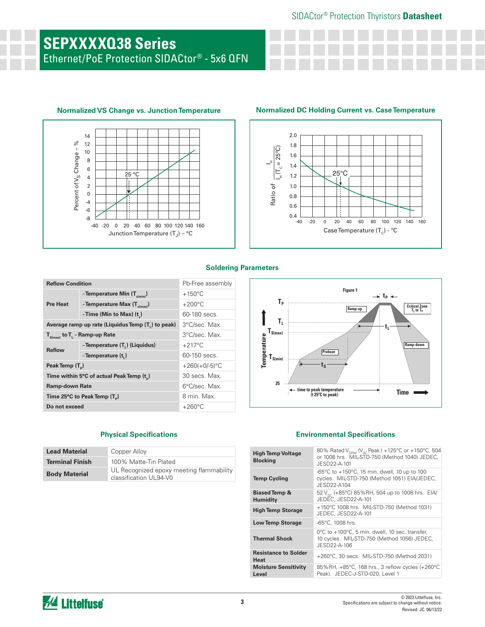# **SEPXXXXQ38 Series**

Ethernet/PoE Protection SIDACtor® - 5x6 QFN





#### **Soldering Parameters**

| <b>Reflow Condition</b>                  |                                                   | Pb-Free assembly |  |
|------------------------------------------|---------------------------------------------------|------------------|--|
|                                          | - Temperature Min $(T_{s(min)})$                  | $+150^{\circ}$ C |  |
| <b>Pre Heat</b>                          | - Temperature Max $(T_{\text{s(max)}})$           | $+200^{\circ}$ C |  |
|                                          | - Time (Min to Max) (t)                           | 60-180 secs.     |  |
|                                          | Average ramp up rate (Liquidus Temp (T,) to peak) | 3°C/sec. Max.    |  |
| $T_{S(max)}$ to $T_{L}$ - Ramp-up Rate   |                                                   | 3°C/sec. Max.    |  |
| <b>Reflow</b>                            | - Temperature (T <sub>1</sub> ) (Liquidus)        | $+217^{\circ}$ C |  |
|                                          | - Temperature (t,)                                | 60-150 secs.     |  |
| Peak Temp (T <sub>D</sub> )              |                                                   | $+260(+0/-5)$ °C |  |
|                                          | Time within 5°C of actual Peak Temp (t)           | 30 secs. Max.    |  |
| <b>Ramp-down Rate</b>                    |                                                   | 6°C/sec. Max.    |  |
| Time 25°C to Peak Temp (T <sub>a</sub> ) |                                                   | 8 min. Max.      |  |
| Do not exceed                            |                                                   | $+260^{\circ}$ C |  |

| <b>Lead Material</b>   | Copper Alloy                                                       |
|------------------------|--------------------------------------------------------------------|
| <b>Terminal Finish</b> | 100% Matte-Tin Plated                                              |
| <b>Body Material</b>   | UL Recognized epoxy meeting flammability<br>classification UL94-V0 |



#### **Physical Specifications Environmental Specifications**

| <b>High Temp Voltage</b><br><b>Blocking</b> | 80% Rated V <sub>DRM</sub> (V <sub>AC</sub> Peak) +125°C or +150°C, 504<br>or 1008 hrs. MIL-STD-750 (Method 1040) JEDEC,<br>JESD22-A-101 |
|---------------------------------------------|------------------------------------------------------------------------------------------------------------------------------------------|
| <b>Temp Cycling</b>                         | -65°C to +150°C, 15 min. dwell, 10 up to 100<br>cycles. MIL-STD-750 (Method 1051) EIA/JEDEC,<br>JESD22-A104                              |
| <b>Biased Temp &amp;</b><br><b>Humidity</b> | 52 V <sub>pc</sub> (+85°C) 85%RH, 504 up to 1008 hrs. EIA/<br>JEDEC, JESD22-A-101                                                        |
| <b>High Temp Storage</b>                    | +150°C 1008 hrs. MIL-STD-750 (Method 1031)<br>JEDEC, JESD22-A-101                                                                        |
| <b>Low Temp Storage</b>                     | $-65^{\circ}$ C, 1008 hrs.                                                                                                               |
| <b>Thermal Shock</b>                        | 0°C to +100°C, 5 min. dwell, 10 sec. transfer,<br>10 cycles. MIL-STD-750 (Method 1056) JEDEC,<br>JESD22-A-106                            |
| <b>Resistance to Solder</b><br>Heat         | +260°C, 30 secs. MIL-STD-750 (Method 2031)                                                                                               |
| <b>Moisture Sensitivity</b><br>Level        | 85%RH, $+85^{\circ}$ C, 168 hrs., 3 reflow cycles ( $+260^{\circ}$ C<br>Peak). JEDEC-J-STD-020, Level 1                                  |

## *M* Littelfuse®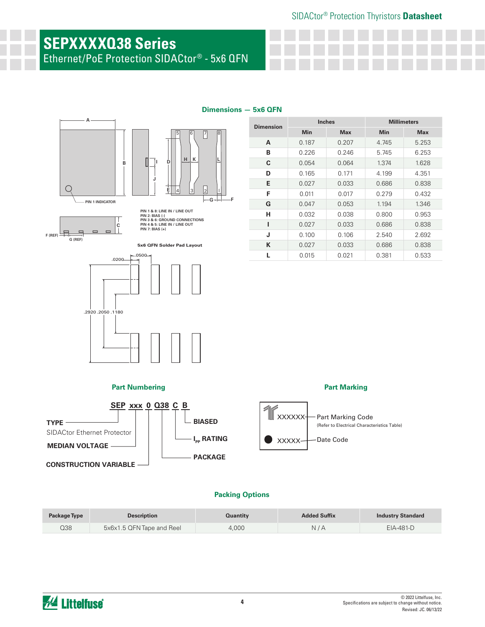#### SIDACtor® Protection Thyristors **Datasheet**

**Inches Millimeters Min Max Min Max**

**A** 0.187 0.207 4.745 5.253 **B** 0.226 0.246 5.745 6.253 **C** 0.054 0.064 1.374 1.628 **D** 0.165 0.171 4.199 4.351 **E** 0.027 0.033 0.686 0.838 **F** 0.011 0.017 0.279 0.432 **G** 0.047 0.053 1.194 1.346 **H** 0.032 0.038 0.800 0.953 **I** 0.027 0.033 0.686 0.838 **J** 0.100 0.106 2.540 2.692 **K** 0.027 0.033 0.686 0.838 **L** 0.015 0.021 0.381 0.533

**Part Marking**

## **SEPXXXXQ38 Series**

Ethernet/PoE Protection SIDACtor® - 5x6 QFN



**Dimension**



| <b>Fait INUMIDEMIN</b>             |                        | <b>Fait Mainlily</b>                                                                 |
|------------------------------------|------------------------|--------------------------------------------------------------------------------------|
| <b>SEP xxx 0 Q38 C B</b>           |                        |                                                                                      |
| <b>TYPE</b>                        | <b>BIASED</b>          | XXXXXX <sup>-</sup> Part Marking Code<br>(Refer to Electrical Characteristics Table) |
| <b>SIDACtor Ethernet Protector</b> | $I_{\text{pp}}$ RATING | Date Code<br><b>XXXXX</b>                                                            |
| <b>MEDIAN VOLTAGE</b>              |                        |                                                                                      |
| <b>CONSTRUCTION VARIABLE</b>       | <b>PACKAGE</b>         |                                                                                      |
|                                    |                        |                                                                                      |

#### **Packing Options**

| Package Type | <b>Description</b>        | Quantity | <b>Added Suffix</b> | <b>Industry Standard</b> |
|--------------|---------------------------|----------|---------------------|--------------------------|
| Q38          | 5x6x1.5 QFN Tape and Reel | 4.000    | N/A                 | $EIA-481-D$              |